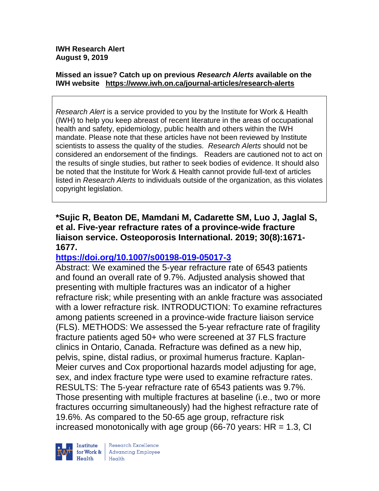#### **Missed an issue? Catch up on previous** *Research Alerts* **available on the [IWH website](http://www.iwh.on.ca/research-alerts) <https://www.iwh.on.ca/journal-articles/research-alerts>**

*Research Alert* is a service provided to you by the Institute for Work & Health (IWH) to help you keep abreast of recent literature in the areas of occupational health and safety, epidemiology, public health and others within the IWH mandate. Please note that these articles have not been reviewed by Institute scientists to assess the quality of the studies. *Research Alerts* should not be considered an endorsement of the findings. Readers are cautioned not to act on the results of single studies, but rather to seek bodies of evidence. It should also be noted that the Institute for Work & Health cannot provide full-text of articles listed in *Research Alerts* to individuals outside of the organization, as this violates copyright legislation.

### **\*Sujic R, Beaton DE, Mamdani M, Cadarette SM, Luo J, Jaglal S, et al. Five-year refracture rates of a province-wide fracture liaison service. Osteoporosis International. 2019; 30(8):1671- 1677.**

## **<https://doi.org/10.1007/s00198-019-05017-3>**

Abstract: We examined the 5-year refracture rate of 6543 patients and found an overall rate of 9.7%. Adjusted analysis showed that presenting with multiple fractures was an indicator of a higher refracture risk; while presenting with an ankle fracture was associated with a lower refracture risk. INTRODUCTION: To examine refractures among patients screened in a province-wide fracture liaison service (FLS). METHODS: We assessed the 5-year refracture rate of fragility fracture patients aged 50+ who were screened at 37 FLS fracture clinics in Ontario, Canada. Refracture was defined as a new hip, pelvis, spine, distal radius, or proximal humerus fracture. Kaplan-Meier curves and Cox proportional hazards model adjusting for age, sex, and index fracture type were used to examine refracture rates. RESULTS: The 5-year refracture rate of 6543 patients was 9.7%. Those presenting with multiple fractures at baseline (i.e., two or more fractures occurring simultaneously) had the highest refracture rate of 19.6%. As compared to the 50-65 age group, refracture risk increased monotonically with age group (66-70 years:  $HR = 1.3$ , CI

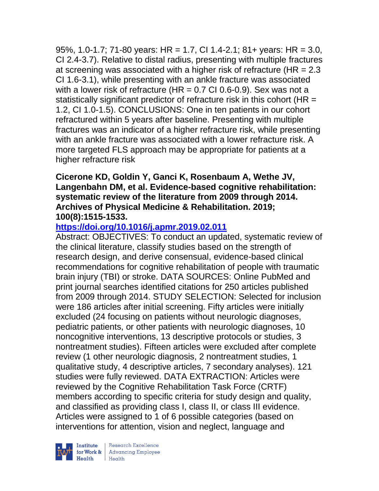95%, 1.0-1.7; 71-80 years: HR = 1.7, CI 1.4-2.1; 81+ years: HR = 3.0, CI 2.4-3.7). Relative to distal radius, presenting with multiple fractures at screening was associated with a higher risk of refracture (HR = 2.3 CI 1.6-3.1), while presenting with an ankle fracture was associated with a lower risk of refracture (HR =  $0.7$  CI 0.6-0.9). Sex was not a statistically significant predictor of refracture risk in this cohort (HR = 1.2, CI 1.0-1.5). CONCLUSIONS: One in ten patients in our cohort refractured within 5 years after baseline. Presenting with multiple fractures was an indicator of a higher refracture risk, while presenting with an ankle fracture was associated with a lower refracture risk. A more targeted FLS approach may be appropriate for patients at a higher refracture risk

#### **Cicerone KD, Goldin Y, Ganci K, Rosenbaum A, Wethe JV, Langenbahn DM, et al. Evidence-based cognitive rehabilitation: systematic review of the literature from 2009 through 2014. Archives of Physical Medicine & Rehabilitation. 2019; 100(8):1515-1533.**

## **<https://doi.org/10.1016/j.apmr.2019.02.011>**

Abstract: OBJECTIVES: To conduct an updated, systematic review of the clinical literature, classify studies based on the strength of research design, and derive consensual, evidence-based clinical recommendations for cognitive rehabilitation of people with traumatic brain injury (TBI) or stroke. DATA SOURCES: Online PubMed and print journal searches identified citations for 250 articles published from 2009 through 2014. STUDY SELECTION: Selected for inclusion were 186 articles after initial screening. Fifty articles were initially excluded (24 focusing on patients without neurologic diagnoses, pediatric patients, or other patients with neurologic diagnoses, 10 noncognitive interventions, 13 descriptive protocols or studies, 3 nontreatment studies). Fifteen articles were excluded after complete review (1 other neurologic diagnosis, 2 nontreatment studies, 1 qualitative study, 4 descriptive articles, 7 secondary analyses). 121 studies were fully reviewed. DATA EXTRACTION: Articles were reviewed by the Cognitive Rehabilitation Task Force (CRTF) members according to specific criteria for study design and quality, and classified as providing class I, class II, or class III evidence. Articles were assigned to 1 of 6 possible categories (based on interventions for attention, vision and neglect, language and



| Research Excellence Institute Research Excellence<br>
for Work & Advancing Employee<br>
Hogith Hogith Health Health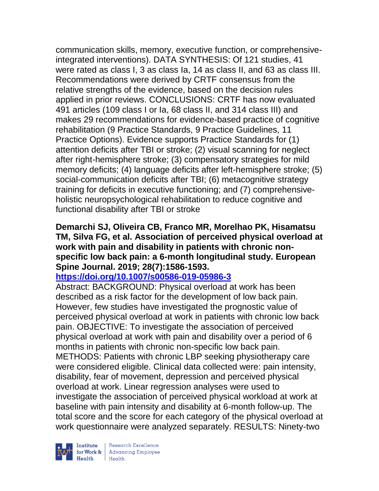communication skills, memory, executive function, or comprehensiveintegrated interventions). DATA SYNTHESIS: Of 121 studies, 41 were rated as class I, 3 as class Ia, 14 as class II, and 63 as class III. Recommendations were derived by CRTF consensus from the relative strengths of the evidence, based on the decision rules applied in prior reviews. CONCLUSIONS: CRTF has now evaluated 491 articles (109 class I or Ia, 68 class II, and 314 class III) and makes 29 recommendations for evidence-based practice of cognitive rehabilitation (9 Practice Standards, 9 Practice Guidelines, 11 Practice Options). Evidence supports Practice Standards for (1) attention deficits after TBI or stroke; (2) visual scanning for neglect after right-hemisphere stroke; (3) compensatory strategies for mild memory deficits; (4) language deficits after left-hemisphere stroke; (5) social-communication deficits after TBI; (6) metacognitive strategy training for deficits in executive functioning; and (7) comprehensiveholistic neuropsychological rehabilitation to reduce cognitive and functional disability after TBI or stroke

### **Demarchi SJ, Oliveira CB, Franco MR, Morelhao PK, Hisamatsu TM, Silva FG, et al. Association of perceived physical overload at work with pain and disability in patients with chronic nonspecific low back pain: a 6-month longitudinal study. European Spine Journal. 2019; 28(7):1586-1593.**

## **<https://doi.org/10.1007/s00586-019-05986-3>**

Abstract: BACKGROUND: Physical overload at work has been described as a risk factor for the development of low back pain. However, few studies have investigated the prognostic value of perceived physical overload at work in patients with chronic low back pain. OBJECTIVE: To investigate the association of perceived physical overload at work with pain and disability over a period of 6 months in patients with chronic non-specific low back pain. METHODS: Patients with chronic LBP seeking physiotherapy care were considered eligible. Clinical data collected were: pain intensity, disability, fear of movement, depression and perceived physical overload at work. Linear regression analyses were used to investigate the association of perceived physical workload at work at baseline with pain intensity and disability at 6-month follow-up. The total score and the score for each category of the physical overload at work questionnaire were analyzed separately. RESULTS: Ninety-two

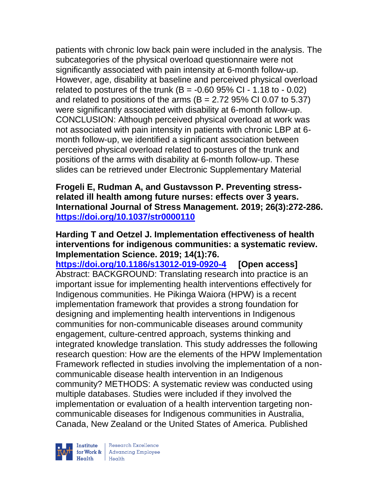patients with chronic low back pain were included in the analysis. The subcategories of the physical overload questionnaire were not significantly associated with pain intensity at 6-month follow-up. However, age, disability at baseline and perceived physical overload related to postures of the trunk  $(B = -0.6095\% \text{ CI} - 1.18 \text{ to } -0.02)$ and related to positions of the arms  $(B = 2.7295\% \text{ Cl } 0.07 \text{ to } 5.37)$ were significantly associated with disability at 6-month follow-up. CONCLUSION: Although perceived physical overload at work was not associated with pain intensity in patients with chronic LBP at 6 month follow-up, we identified a significant association between perceived physical overload related to postures of the trunk and positions of the arms with disability at 6-month follow-up. These slides can be retrieved under Electronic Supplementary Material

**Frogeli E, Rudman A, and Gustavsson P. Preventing stressrelated ill health among future nurses: effects over 3 years. International Journal of Stress Management. 2019; 26(3):272-286. <https://doi.org/10.1037/str0000110>** 

#### **Harding T and Oetzel J. Implementation effectiveness of health interventions for indigenous communities: a systematic review. Implementation Science. 2019; 14(1):76.**

**<https://doi.org/10.1186/s13012-019-0920-4> [Open access]** Abstract: BACKGROUND: Translating research into practice is an important issue for implementing health interventions effectively for Indigenous communities. He Pikinga Waiora (HPW) is a recent implementation framework that provides a strong foundation for designing and implementing health interventions in Indigenous communities for non-communicable diseases around community engagement, culture-centred approach, systems thinking and integrated knowledge translation. This study addresses the following research question: How are the elements of the HPW Implementation Framework reflected in studies involving the implementation of a noncommunicable disease health intervention in an Indigenous community? METHODS: A systematic review was conducted using multiple databases. Studies were included if they involved the implementation or evaluation of a health intervention targeting noncommunicable diseases for Indigenous communities in Australia, Canada, New Zealand or the United States of America. Published

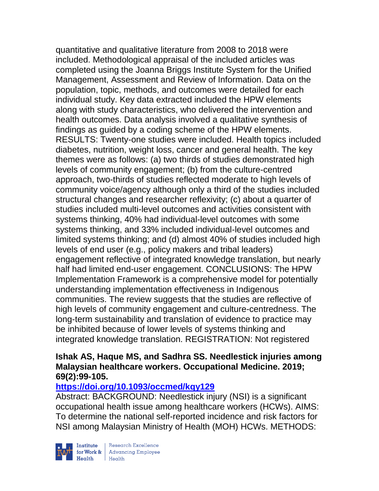quantitative and qualitative literature from 2008 to 2018 were included. Methodological appraisal of the included articles was completed using the Joanna Briggs Institute System for the Unified Management, Assessment and Review of Information. Data on the population, topic, methods, and outcomes were detailed for each individual study. Key data extracted included the HPW elements along with study characteristics, who delivered the intervention and health outcomes. Data analysis involved a qualitative synthesis of findings as guided by a coding scheme of the HPW elements. RESULTS: Twenty-one studies were included. Health topics included diabetes, nutrition, weight loss, cancer and general health. The key themes were as follows: (a) two thirds of studies demonstrated high levels of community engagement; (b) from the culture-centred approach, two-thirds of studies reflected moderate to high levels of community voice/agency although only a third of the studies included structural changes and researcher reflexivity; (c) about a quarter of studies included multi-level outcomes and activities consistent with systems thinking, 40% had individual-level outcomes with some systems thinking, and 33% included individual-level outcomes and limited systems thinking; and (d) almost 40% of studies included high levels of end user (e.g., policy makers and tribal leaders) engagement reflective of integrated knowledge translation, but nearly half had limited end-user engagement. CONCLUSIONS: The HPW Implementation Framework is a comprehensive model for potentially understanding implementation effectiveness in Indigenous communities. The review suggests that the studies are reflective of high levels of community engagement and culture-centredness. The long-term sustainability and translation of evidence to practice may be inhibited because of lower levels of systems thinking and integrated knowledge translation. REGISTRATION: Not registered

#### **Ishak AS, Haque MS, and Sadhra SS. Needlestick injuries among Malaysian healthcare workers. Occupational Medicine. 2019; 69(2):99-105.**

## **<https://doi.org/10.1093/occmed/kqy129>**

Abstract: BACKGROUND: Needlestick injury (NSI) is a significant occupational health issue among healthcare workers (HCWs). AIMS: To determine the national self-reported incidence and risk factors for NSI among Malaysian Ministry of Health (MOH) HCWs. METHODS:

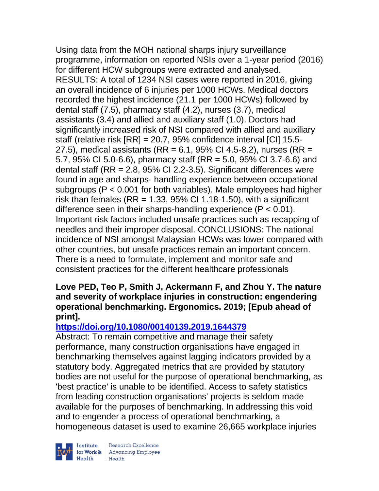Using data from the MOH national sharps injury surveillance programme, information on reported NSIs over a 1-year period (2016) for different HCW subgroups were extracted and analysed. RESULTS: A total of 1234 NSI cases were reported in 2016, giving an overall incidence of 6 injuries per 1000 HCWs. Medical doctors recorded the highest incidence (21.1 per 1000 HCWs) followed by dental staff (7.5), pharmacy staff (4.2), nurses (3.7), medical assistants (3.4) and allied and auxiliary staff (1.0). Doctors had significantly increased risk of NSI compared with allied and auxiliary staff (relative risk [RR] = 20.7, 95% confidence interval [CI] 15.5- 27.5), medical assistants (RR = 6.1, 95% CI 4.5-8.2), nurses (RR = 5.7, 95% CI 5.0-6.6), pharmacy staff (RR = 5.0, 95% CI 3.7-6.6) and dental staff ( $RR = 2.8$ ,  $95\%$  CI 2.2-3.5). Significant differences were found in age and sharps- handling experience between occupational subgroups (P < 0.001 for both variables). Male employees had higher risk than females (RR = 1.33, 95% CI 1.18-1.50), with a significant difference seen in their sharps-handling experience  $(P < 0.01)$ . Important risk factors included unsafe practices such as recapping of needles and their improper disposal. CONCLUSIONS: The national incidence of NSI amongst Malaysian HCWs was lower compared with other countries, but unsafe practices remain an important concern. There is a need to formulate, implement and monitor safe and consistent practices for the different healthcare professionals

### **Love PED, Teo P, Smith J, Ackermann F, and Zhou Y. The nature and severity of workplace injuries in construction: engendering operational benchmarking. Ergonomics. 2019; [Epub ahead of print].**

## **<https://doi.org/10.1080/00140139.2019.1644379>**

Abstract: To remain competitive and manage their safety performance, many construction organisations have engaged in benchmarking themselves against lagging indicators provided by a statutory body. Aggregated metrics that are provided by statutory bodies are not useful for the purpose of operational benchmarking, as 'best practice' is unable to be identified. Access to safety statistics from leading construction organisations' projects is seldom made available for the purposes of benchmarking. In addressing this void and to engender a process of operational benchmarking, a homogeneous dataset is used to examine 26,665 workplace injuries



 $\begin{tabular}{|l|} Institute & Research Excellence \\ \hline for Work & Advancing Employee \\ Health & Health \\ \end{tabular}$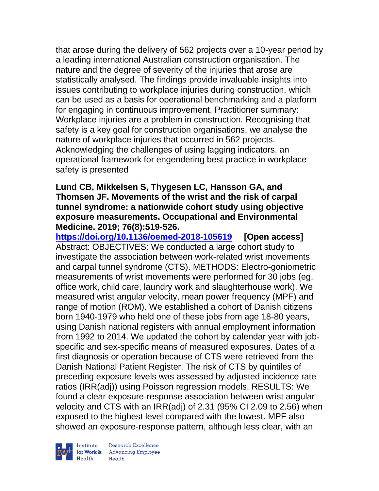that arose during the delivery of 562 projects over a 10-year period by a leading international Australian construction organisation. The nature and the degree of severity of the injuries that arose are statistically analysed. The findings provide invaluable insights into issues contributing to workplace injuries during construction, which can be used as a basis for operational benchmarking and a platform for engaging in continuous improvement. Practitioner summary: Workplace injuries are a problem in construction. Recognising that safety is a key goal for construction organisations, we analyse the nature of workplace injuries that occurred in 562 projects. Acknowledging the challenges of using lagging indicators, an operational framework for engendering best practice in workplace safety is presented

### **Lund CB, Mikkelsen S, Thygesen LC, Hansson GA, and Thomsen JF. Movements of the wrist and the risk of carpal tunnel syndrome: a nationwide cohort study using objective exposure measurements. Occupational and Environmental Medicine. 2019; 76(8):519-526.**

**<https://doi.org/10.1136/oemed-2018-105619> [Open access]** Abstract: OBJECTIVES: We conducted a large cohort study to investigate the association between work-related wrist movements and carpal tunnel syndrome (CTS). METHODS: Electro-goniometric measurements of wrist movements were performed for 30 jobs (eg, office work, child care, laundry work and slaughterhouse work). We measured wrist angular velocity, mean power frequency (MPF) and range of motion (ROM). We established a cohort of Danish citizens born 1940-1979 who held one of these jobs from age 18-80 years, using Danish national registers with annual employment information from 1992 to 2014. We updated the cohort by calendar year with jobspecific and sex-specific means of measured exposures. Dates of a first diagnosis or operation because of CTS were retrieved from the Danish National Patient Register. The risk of CTS by quintiles of preceding exposure levels was assessed by adjusted incidence rate ratios (IRR(adj)) using Poisson regression models. RESULTS: We found a clear exposure-response association between wrist angular velocity and CTS with an IRR(adj) of 2.31 (95% CI 2.09 to 2.56) when exposed to the highest level compared with the lowest. MPF also showed an exposure-response pattern, although less clear, with an



| Research Excellence for Work & Advancing Employee<br>Health Health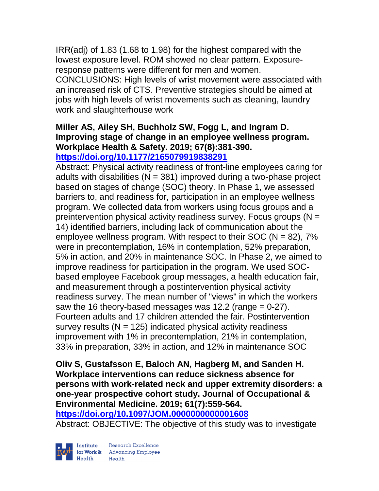IRR(adj) of 1.83 (1.68 to 1.98) for the highest compared with the lowest exposure level. ROM showed no clear pattern. Exposureresponse patterns were different for men and women.

CONCLUSIONS: High levels of wrist movement were associated with an increased risk of CTS. Preventive strategies should be aimed at jobs with high levels of wrist movements such as cleaning, laundry work and slaughterhouse work

#### **Miller AS, Ailey SH, Buchholz SW, Fogg L, and Ingram D. Improving stage of change in an employee wellness program. Workplace Health & Safety. 2019; 67(8):381-390. <https://doi.org/10.1177/2165079919838291>**

Abstract: Physical activity readiness of front-line employees caring for adults with disabilities ( $N = 381$ ) improved during a two-phase project based on stages of change (SOC) theory. In Phase 1, we assessed barriers to, and readiness for, participation in an employee wellness program. We collected data from workers using focus groups and a preintervention physical activity readiness survey. Focus groups  $(N =$ 14) identified barriers, including lack of communication about the employee wellness program. With respect to their  $SOC (N = 82)$ , 7% were in precontemplation, 16% in contemplation, 52% preparation, 5% in action, and 20% in maintenance SOC. In Phase 2, we aimed to improve readiness for participation in the program. We used SOCbased employee Facebook group messages, a health education fair, and measurement through a postintervention physical activity readiness survey. The mean number of "views" in which the workers saw the 16 theory-based messages was 12.2 (range  $= 0-27$ ). Fourteen adults and 17 children attended the fair. Postintervention survey results ( $N = 125$ ) indicated physical activity readiness improvement with 1% in precontemplation, 21% in contemplation, 33% in preparation, 33% in action, and 12% in maintenance SOC

**Oliv S, Gustafsson E, Baloch AN, Hagberg M, and Sanden H. Workplace interventions can reduce sickness absence for persons with work-related neck and upper extremity disorders: a one-year prospective cohort study. Journal of Occupational & Environmental Medicine. 2019; 61(7):559-564.** 

**<https://doi.org/10.1097/JOM.0000000000001608>** 

Abstract: OBJECTIVE: The objective of this study was to investigate

Institute

| Research Excellence for Work & Advancing Employee<br>Health Health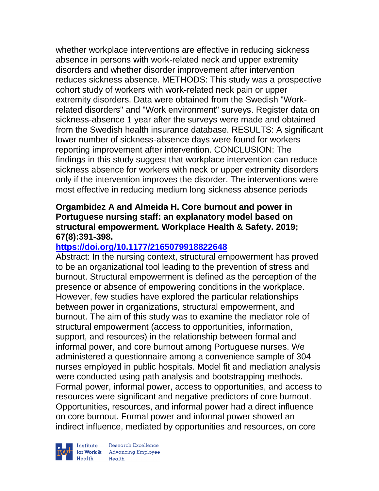whether workplace interventions are effective in reducing sickness absence in persons with work-related neck and upper extremity disorders and whether disorder improvement after intervention reduces sickness absence. METHODS: This study was a prospective cohort study of workers with work-related neck pain or upper extremity disorders. Data were obtained from the Swedish "Workrelated disorders" and "Work environment" surveys. Register data on sickness-absence 1 year after the surveys were made and obtained from the Swedish health insurance database. RESULTS: A significant lower number of sickness-absence days were found for workers reporting improvement after intervention. CONCLUSION: The findings in this study suggest that workplace intervention can reduce sickness absence for workers with neck or upper extremity disorders only if the intervention improves the disorder. The interventions were most effective in reducing medium long sickness absence periods

### **Orgambidez A and Almeida H. Core burnout and power in Portuguese nursing staff: an explanatory model based on structural empowerment. Workplace Health & Safety. 2019; 67(8):391-398.**

## **<https://doi.org/10.1177/2165079918822648>**

Abstract: In the nursing context, structural empowerment has proved to be an organizational tool leading to the prevention of stress and burnout. Structural empowerment is defined as the perception of the presence or absence of empowering conditions in the workplace. However, few studies have explored the particular relationships between power in organizations, structural empowerment, and burnout. The aim of this study was to examine the mediator role of structural empowerment (access to opportunities, information, support, and resources) in the relationship between formal and informal power, and core burnout among Portuguese nurses. We administered a questionnaire among a convenience sample of 304 nurses employed in public hospitals. Model fit and mediation analysis were conducted using path analysis and bootstrapping methods. Formal power, informal power, access to opportunities, and access to resources were significant and negative predictors of core burnout. Opportunities, resources, and informal power had a direct influence on core burnout. Formal power and informal power showed an indirect influence, mediated by opportunities and resources, on core



| Research Excellence **Institute** Research Excellence<br> **Fractional Advancing Employee**<br> **Health** Health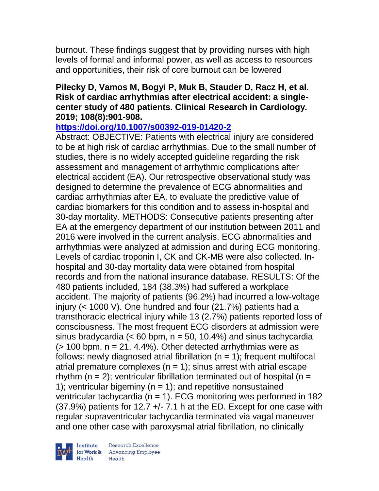burnout. These findings suggest that by providing nurses with high levels of formal and informal power, as well as access to resources and opportunities, their risk of core burnout can be lowered

### **Pilecky D, Vamos M, Bogyi P, Muk B, Stauder D, Racz H, et al. Risk of cardiac arrhythmias after electrical accident: a singlecenter study of 480 patients. Clinical Research in Cardiology. 2019; 108(8):901-908.**

**<https://doi.org/10.1007/s00392-019-01420-2>** 

Abstract: OBJECTIVE: Patients with electrical injury are considered to be at high risk of cardiac arrhythmias. Due to the small number of studies, there is no widely accepted guideline regarding the risk assessment and management of arrhythmic complications after electrical accident (EA). Our retrospective observational study was designed to determine the prevalence of ECG abnormalities and cardiac arrhythmias after EA, to evaluate the predictive value of cardiac biomarkers for this condition and to assess in-hospital and 30-day mortality. METHODS: Consecutive patients presenting after EA at the emergency department of our institution between 2011 and 2016 were involved in the current analysis. ECG abnormalities and arrhythmias were analyzed at admission and during ECG monitoring. Levels of cardiac troponin I, CK and CK-MB were also collected. Inhospital and 30-day mortality data were obtained from hospital records and from the national insurance database. RESULTS: Of the 480 patients included, 184 (38.3%) had suffered a workplace accident. The majority of patients (96.2%) had incurred a low-voltage injury (< 1000 V). One hundred and four (21.7%) patients had a transthoracic electrical injury while 13 (2.7%) patients reported loss of consciousness. The most frequent ECG disorders at admission were sinus bradycardia  $\left($  < 60 bpm, n = 50, 10.4%) and sinus tachycardia  $(> 100$  bpm,  $n = 21, 4.4\%)$ . Other detected arrhythmias were as follows: newly diagnosed atrial fibrillation  $(n = 1)$ ; frequent multifocal atrial premature complexes ( $n = 1$ ); sinus arrest with atrial escape rhythm ( $n = 2$ ); ventricular fibrillation terminated out of hospital ( $n =$ 1); ventricular bigeminy ( $n = 1$ ); and repetitive nonsustained ventricular tachycardia ( $n = 1$ ). ECG monitoring was performed in 182  $(37.9%)$  patients for 12.7  $+/- 7.1$  h at the ED. Except for one case with regular supraventricular tachycardia terminated via vagal maneuver and one other case with paroxysmal atrial fibrillation, no clinically

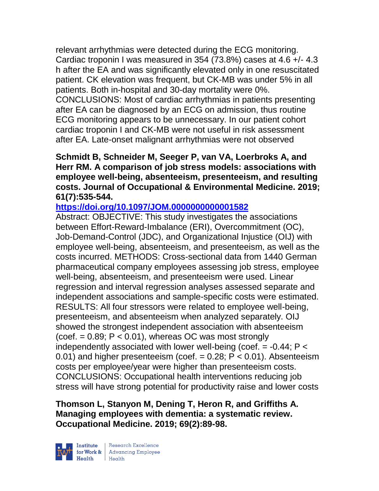relevant arrhythmias were detected during the ECG monitoring. Cardiac troponin I was measured in 354 (73.8%) cases at 4.6 +/- 4.3 h after the EA and was significantly elevated only in one resuscitated patient. CK elevation was frequent, but CK-MB was under 5% in all patients. Both in-hospital and 30-day mortality were 0%. CONCLUSIONS: Most of cardiac arrhythmias in patients presenting after EA can be diagnosed by an ECG on admission, thus routine ECG monitoring appears to be unnecessary. In our patient cohort cardiac troponin I and CK-MB were not useful in risk assessment after EA. Late-onset malignant arrhythmias were not observed

**Schmidt B, Schneider M, Seeger P, van VA, Loerbroks A, and Herr RM. A comparison of job stress models: associations with employee well-being, absenteeism, presenteeism, and resulting costs. Journal of Occupational & Environmental Medicine. 2019; 61(7):535-544.** 

**<https://doi.org/10.1097/JOM.0000000000001582>** 

Abstract: OBJECTIVE: This study investigates the associations between Effort-Reward-Imbalance (ERI), Overcommitment (OC), Job-Demand-Control (JDC), and Organizational Injustice (OIJ) with employee well-being, absenteeism, and presenteeism, as well as the costs incurred. METHODS: Cross-sectional data from 1440 German pharmaceutical company employees assessing job stress, employee well-being, absenteeism, and presenteeism were used. Linear regression and interval regression analyses assessed separate and independent associations and sample-specific costs were estimated. RESULTS: All four stressors were related to employee well-being, presenteeism, and absenteeism when analyzed separately. OIJ showed the strongest independent association with absenteeism  $(coef. = 0.89; P < 0.01)$ , whereas OC was most strongly independently associated with lower well-being (coef.  $= -0.44$ ;  $P <$ 0.01) and higher presenteeism (coef.  $= 0.28$ ;  $P < 0.01$ ). Absenteeism costs per employee/year were higher than presenteeism costs. CONCLUSIONS: Occupational health interventions reducing job stress will have strong potential for productivity raise and lower costs

**Thomson L, Stanyon M, Dening T, Heron R, and Griffiths A. Managing employees with dementia: a systematic review. Occupational Medicine. 2019; 69(2):89-98.** 



| Research Excellence for Work & Advancing Employee<br>Health Health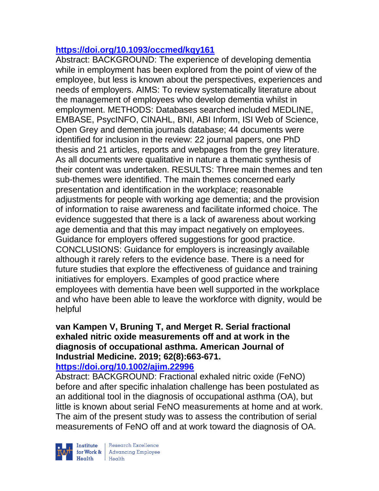## **<https://doi.org/10.1093/occmed/kqy161>**

Abstract: BACKGROUND: The experience of developing dementia while in employment has been explored from the point of view of the employee, but less is known about the perspectives, experiences and needs of employers. AIMS: To review systematically literature about the management of employees who develop dementia whilst in employment. METHODS: Databases searched included MEDLINE, EMBASE, PsycINFO, CINAHL, BNI, ABI Inform, ISI Web of Science, Open Grey and dementia journals database; 44 documents were identified for inclusion in the review: 22 journal papers, one PhD thesis and 21 articles, reports and webpages from the grey literature. As all documents were qualitative in nature a thematic synthesis of their content was undertaken. RESULTS: Three main themes and ten sub-themes were identified. The main themes concerned early presentation and identification in the workplace; reasonable adjustments for people with working age dementia; and the provision of information to raise awareness and facilitate informed choice. The evidence suggested that there is a lack of awareness about working age dementia and that this may impact negatively on employees. Guidance for employers offered suggestions for good practice. CONCLUSIONS: Guidance for employers is increasingly available although it rarely refers to the evidence base. There is a need for future studies that explore the effectiveness of guidance and training initiatives for employers. Examples of good practice where employees with dementia have been well supported in the workplace and who have been able to leave the workforce with dignity, would be helpful

# **van Kampen V, Bruning T, and Merget R. Serial fractional exhaled nitric oxide measurements off and at work in the diagnosis of occupational asthma. American Journal of Industrial Medicine. 2019; 62(8):663-671.**

**<https://doi.org/10.1002/ajim.22996>** 

Abstract: BACKGROUND: Fractional exhaled nitric oxide (FeNO) before and after specific inhalation challenge has been postulated as an additional tool in the diagnosis of occupational asthma (OA), but little is known about serial FeNO measurements at home and at work. The aim of the present study was to assess the contribution of serial measurements of FeNO off and at work toward the diagnosis of OA.